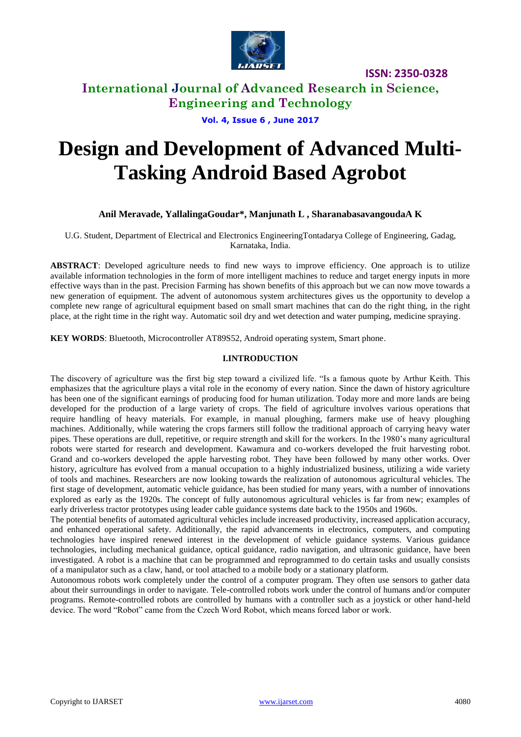

### **International Journal of Advanced Research in Science, Engineering and Technology**

**Vol. 4, Issue 6 , June 2017**

# **Design and Development of Advanced Multi-Tasking Android Based Agrobot**

### **Anil Meravade, YallalingaGoudar\*, Manjunath L , SharanabasavangoudaA K**

U.G. Student, Department of Electrical and Electronics EngineeringTontadarya College of Engineering, Gadag, Karnataka, India.

**ABSTRACT**: Developed agriculture needs to find new ways to improve efficiency. One approach is to utilize available information technologies in the form of more intelligent machines to reduce and target energy inputs in more effective ways than in the past. Precision Farming has shown benefits of this approach but we can now move towards a new generation of equipment. The advent of autonomous system architectures gives us the opportunity to develop a complete new range of agricultural equipment based on small smart machines that can do the right thing, in the right place, at the right time in the right way. Automatic soil dry and wet detection and water pumping, medicine spraying.

**KEY WORDS**: Bluetooth, Microcontroller AT89S52, Android operating system, Smart phone.

### **I.INTRODUCTION**

The discovery of agriculture was the first big step toward a civilized life. "Is a famous quote by Arthur Keith. This emphasizes that the agriculture plays a vital role in the economy of every nation. Since the dawn of history agriculture has been one of the significant earnings of producing food for human utilization. Today more and more lands are being developed for the production of a large variety of crops. The field of agriculture involves various operations that require handling of heavy materials. For example, in manual ploughing, farmers make use of heavy ploughing machines. Additionally, while watering the crops farmers still follow the traditional approach of carrying heavy water pipes. These operations are dull, repetitive, or require strength and skill for the workers. In the 1980's many agricultural robots were started for research and development. Kawamura and co-workers developed the fruit harvesting robot. Grand and co-workers developed the apple harvesting robot. They have been followed by many other works. Over history, agriculture has evolved from a manual occupation to a highly industrialized business, utilizing a wide variety of tools and machines. Researchers are now looking towards the realization of autonomous agricultural vehicles. The first stage of development, automatic vehicle guidance, has been studied for many years, with a number of innovations explored as early as the 1920s. The concept of fully autonomous agricultural vehicles is far from new; examples of early driverless tractor prototypes using leader cable guidance systems date back to the 1950s and 1960s.

The potential benefits of automated agricultural vehicles include increased productivity, increased application accuracy, and enhanced operational safety. Additionally, the rapid advancements in electronics, computers, and computing technologies have inspired renewed interest in the development of vehicle guidance systems. Various guidance technologies, including mechanical guidance, optical guidance, radio navigation, and ultrasonic guidance, have been investigated. A robot is a machine that can be programmed and reprogrammed to do certain tasks and usually consists of a manipulator such as a claw, hand, or tool attached to a mobile body or a stationary platform.

Autonomous robots work completely under the control of a computer program. They often use sensors to gather data about their surroundings in order to navigate. Tele-controlled robots work under the control of humans and/or computer programs. Remote-controlled robots are controlled by humans with a controller such as a joystick or other hand-held device. The word "Robot" came from the Czech Word Robot, which means forced labor or work.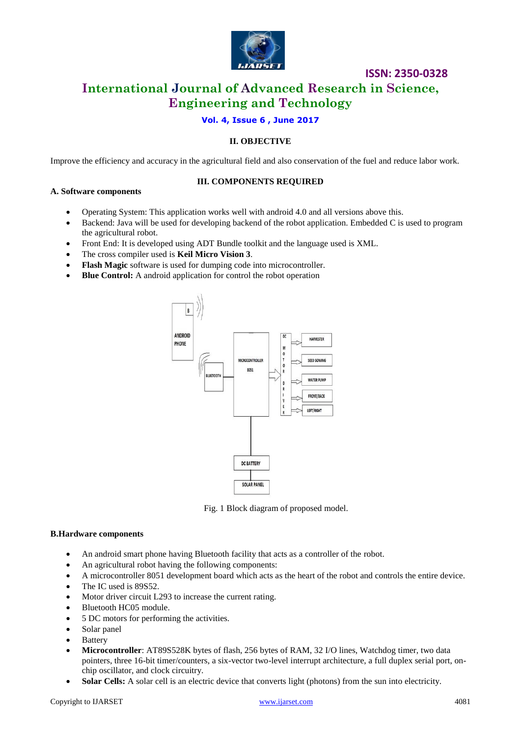

## **International Journal of Advanced Research in Science, Engineering and Technology**

### **Vol. 4, Issue 6 , June 2017**

### **II. OBJECTIVE**

Improve the efficiency and accuracy in the agricultural field and also conservation of the fuel and reduce labor work.

#### **III. COMPONENTS REQUIRED**

#### **A. Software components**

- Operating System: This application works well with android 4.0 and all versions above this.
- Backend: Java will be used for developing backend of the robot application. Embedded C is used to program the agricultural robot.
- Front End: It is developed using ADT Bundle toolkit and the language used is XML.
- The cross compiler used is **Keil Micro Vision 3**.
- **Flash Magic** software is used for dumping code into microcontroller.
- **Blue Control:** A android application for control the robot operation



Fig. 1 Block diagram of proposed model.

### **B.Hardware components**

- An android smart phone having Bluetooth facility that acts as a controller of the robot.
- An agricultural robot having the following components:
- A microcontroller 8051 development board which acts as the heart of the robot and controls the entire device.
- The IC used is 89S52.
- Motor driver circuit L293 to increase the current rating.
- Bluetooth HC05 module.
- 5 DC motors for performing the activities.
- Solar panel
- Battery
- **Microcontroller**: AT89S528K bytes of flash, 256 bytes of RAM, 32 I/O lines, Watchdog timer, two data pointers, three 16-bit timer/counters, a six-vector two-level interrupt architecture, a full duplex serial port, onchip oscillator, and clock circuitry.
- **Solar Cells:** A solar cell is an electric device that converts light (photons) from the sun into electricity.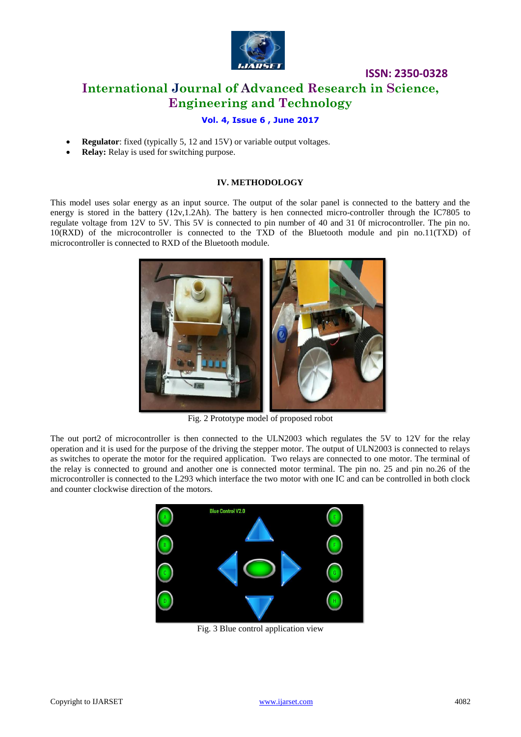

# **ISSN: 2350-0328 International Journal of Advanced Research in Science, Engineering and Technology**

### **Vol. 4, Issue 6 , June 2017**

- **Regulator**: fixed (typically 5, 12 and 15V) or variable output voltages.
- **Relay:** Relay is used for switching purpose.

### **IV. METHODOLOGY**

This model uses solar energy as an input source. The output of the solar panel is connected to the battery and the energy is stored in the battery (12v,1.2Ah). The battery is hen connected micro-controller through the IC7805 to regulate voltage from 12V to 5V. This 5V is connected to pin number of 40 and 31 0f microcontroller. The pin no. 10(RXD) of the microcontroller is connected to the TXD of the Bluetooth module and pin no.11(TXD) of microcontroller is connected to RXD of the Bluetooth module.



Fig. 2 Prototype model of proposed robot

The out port2 of microcontroller is then connected to the ULN2003 which regulates the 5V to 12V for the relay operation and it is used for the purpose of the driving the stepper motor. The output of ULN2003 is connected to relays as switches to operate the motor for the required application. Two relays are connected to one motor. The terminal of the relay is connected to ground and another one is connected motor terminal. The pin no. 25 and pin no.26 of the microcontroller is connected to the L293 which interface the two motor with one IC and can be controlled in both clock and counter clockwise direction of the motors.



Fig. 3 Blue control application view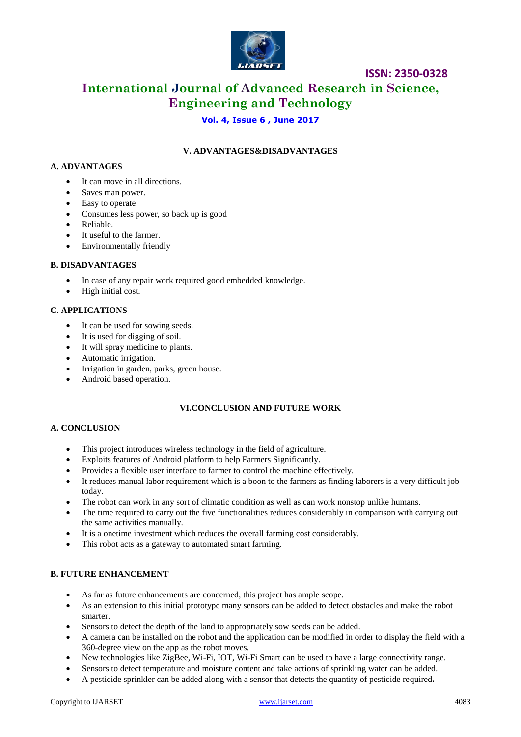

# **International Journal of Advanced Research in Science, Engineering and Technology**

### **Vol. 4, Issue 6 , June 2017**

### **V. ADVANTAGES&DISADVANTAGES**

### **A. ADVANTAGES**

- It can move in all directions.
- Saves man power.
- Easy to operate
- Consumes less power, so back up is good
- Reliable.
- It useful to the farmer.
- Environmentally friendly

### **B. DISADVANTAGES**

- In case of any repair work required good embedded knowledge.
- High initial cost.

### **C. APPLICATIONS**

- It can be used for sowing seeds.
- It is used for digging of soil.
- It will spray medicine to plants.
- Automatic irrigation.
- Irrigation in garden, parks, green house.
- Android based operation.

### **VI.CONCLUSION AND FUTURE WORK**

### **A. CONCLUSION**

- This project introduces wireless technology in the field of agriculture.
- Exploits features of Android platform to help Farmers Significantly.
- Provides a flexible user interface to farmer to control the machine effectively.
- It reduces manual labor requirement which is a boon to the farmers as finding laborers is a very difficult job today.
- The robot can work in any sort of climatic condition as well as can work nonstop unlike humans.
- The time required to carry out the five functionalities reduces considerably in comparison with carrying out the same activities manually.
- It is a onetime investment which reduces the overall farming cost considerably.
- This robot acts as a gateway to automated smart farming.

### **B. FUTURE ENHANCEMENT**

- As far as future enhancements are concerned, this project has ample scope.
- As an extension to this initial prototype many sensors can be added to detect obstacles and make the robot smarter.
- Sensors to detect the depth of the land to appropriately sow seeds can be added.
- A camera can be installed on the robot and the application can be modified in order to display the field with a 360-degree view on the app as the robot moves.
- New technologies like ZigBee, Wi-Fi, IOT, Wi-Fi Smart can be used to have a large connectivity range.
- Sensors to detect temperature and moisture content and take actions of sprinkling water can be added.
- A pesticide sprinkler can be added along with a sensor that detects the quantity of pesticide required**.**